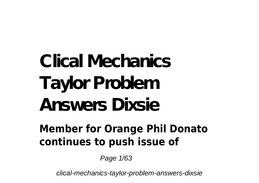# **Clical Mechanics Taylor Problem Answers Dixsie**

#### **Member for Orange Phil Donato continues to push issue of**

Page 1/63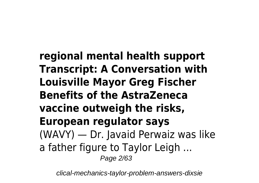**regional mental health support Transcript: A Conversation with Louisville Mayor Greg Fischer Benefits of the AstraZeneca vaccine outweigh the risks, European regulator says** (WAVY) — Dr. Javaid Perwaiz was like a father figure to Taylor Leigh ... Page 2/63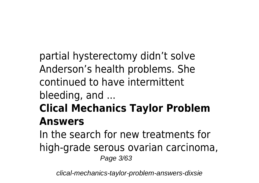partial hysterectomy didn't solve Anderson's health problems. She continued to have intermittent bleeding, and ...

### **Clical Mechanics Taylor Problem Answers**

In the search for new treatments for high-grade serous ovarian carcinoma, Page 3/63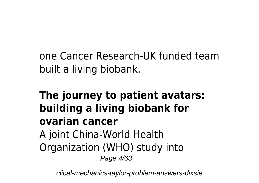one Cancer Research-UK funded team built a living biobank.

#### **The journey to patient avatars: building a living biobank for ovarian cancer** A joint China-World Health Organization (WHO) study into Page 4/63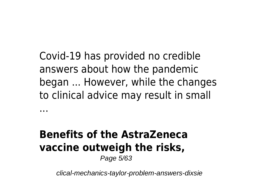Covid-19 has provided no credible answers about how the pandemic began ... However, while the changes to clinical advice may result in small

#### **Benefits of the AstraZeneca vaccine outweigh the risks,** Page 5/63

...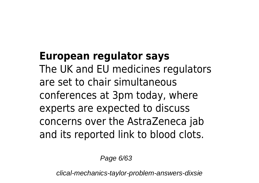#### **European regulator says**

The UK and EU medicines regulators are set to chair simultaneous conferences at 3pm today, where experts are expected to discuss concerns over the AstraZeneca jab and its reported link to blood clots.

Page 6/63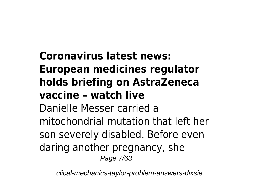### **Coronavirus latest news: European medicines regulator holds briefing on AstraZeneca vaccine – watch live**

Danielle Messer carried a mitochondrial mutation that left her son severely disabled. Before even daring another pregnancy, she Page 7/63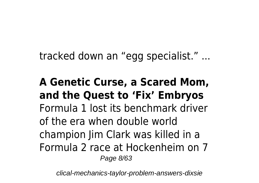tracked down an "egg specialist." ...

**A Genetic Curse, a Scared Mom, and the Quest to 'Fix' Embryos** Formula 1 lost its benchmark driver of the era when double world champion Jim Clark was killed in a Formula 2 race at Hockenheim on 7 Page 8/63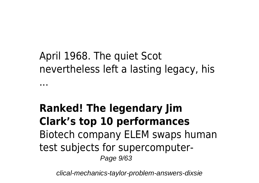#### April 1968. The quiet Scot nevertheless left a lasting legacy, his ...

#### **Ranked! The legendary Jim Clark's top 10 performances** Biotech company ELEM swaps human test subjects for supercomputer-Page 9/63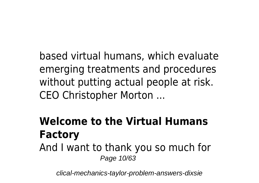based virtual humans, which evaluate emerging treatments and procedures without putting actual people at risk. CEO Christopher Morton ...

### **Welcome to the Virtual Humans Factory** And I want to thank you so much for

Page 10/63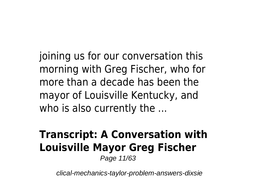joining us for our conversation this morning with Greg Fischer, who for more than a decade has been the mayor of Louisville Kentucky, and who is also currently the ...

# **Transcript: A Conversation with Louisville Mayor Greg Fischer**

Page 11/63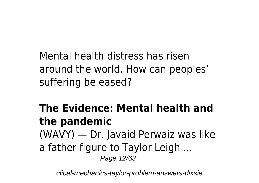Mental health distress has risen around the world. How can peoples' suffering be eased?

#### The Evidence: Mental health and the pandemic

(WAVY) — Dr. Javaid Perwaiz was like

a father figure to Taylor Leigh ...

Page 12/63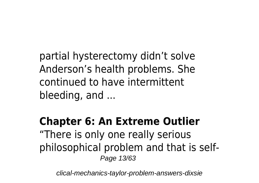partial hysterectomy didn't solve Anderson's health problems. She continued to have intermittent bleeding, and ...

#### **Chapter 6: An Extreme Outlier** "There is only one really serious philosophical problem and that is self-Page 13/63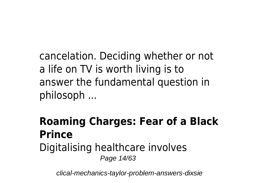cancelation. Deciding whether or not a life on TV is worth living is to answer the fundamental question in philosoph ...

#### **Roaming Charges: Fear of a Black Prince** Digitalising healthcare involves Page 14/63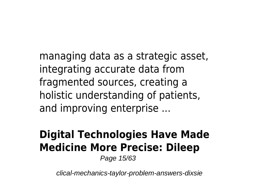managing data as a strategic asset, integrating accurate data from fragmented sources, creating a holistic understanding of patients, and improving enterprise ...

### **Digital Technologies Have Made Medicine More Precise: Dileep**

Page 15/63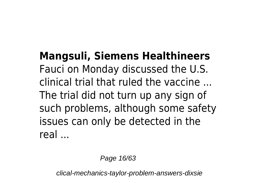**Mangsuli, Siemens Healthineers** Fauci on Monday discussed the U.S. clinical trial that ruled the vaccine The trial did not turn up any sign of such problems, although some safety issues can only be detected in the real

Page 16/63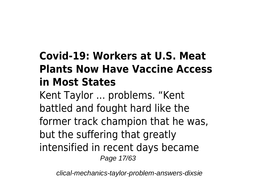### **Covid-19: Workers at U.S. Meat Plants Now Have Vaccine Access in Most States**

Kent Taylor ... problems. "Kent battled and fought hard like the former track champion that he was, but the suffering that greatly intensified in recent days became Page 17/63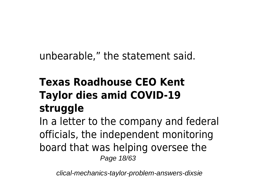unbearable," the statement said.

### **Texas Roadhouse CEO Kent Taylor dies amid COVID-19 struggle**

In a letter to the company and federal officials, the independent monitoring board that was helping oversee the Page 18/63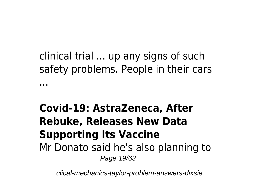clinical trial ... up any signs of such safety problems. People in their cars ...

#### **Covid-19: AstraZeneca, After Rebuke, Releases New Data Supporting Its Vaccine** Mr Donato said he's also planning to Page 19/63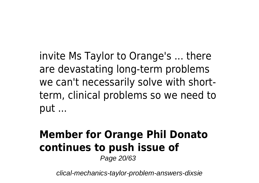invite Ms Taylor to Orange's ... there are devastating long-term problems we can't necessarily solve with shortterm, clinical problems so we need to put ...

#### **Member for Orange Phil Donato continues to push issue of** Page 20/63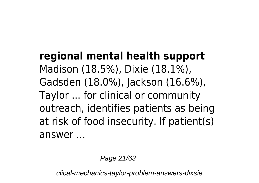#### **regional mental health support** Madison (18.5%), Dixie (18.1%), Gadsden (18.0%), Jackson (16.6%), Taylor ... for clinical or community outreach, identifies patients as being at risk of food insecurity. If patient(s) answer ...

Page 21/63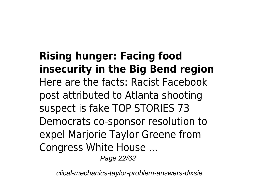**Rising hunger: Facing food insecurity in the Big Bend region** Here are the facts: Racist Facebook post attributed to Atlanta shooting suspect is fake TOP STORIES 73 Democrats co-sponsor resolution to expel Marjorie Taylor Greene from Congress White House ...

Page 22/63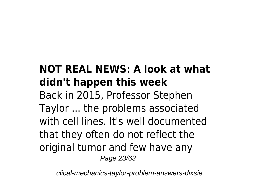#### **NOT REAL NEWS: A look at what didn't happen this week** Back in 2015, Professor Stephen Taylor ... the problems associated with cell lines. It's well documented that they often do not reflect the original tumor and few have any Page 23/63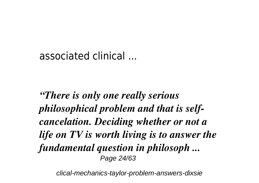#### associated clinical

"There is only one really serious" *philosophical problem and that is self*cancelation. Deciding whether or not a life on TV is worth living is to answer the fundamental question in philosoph ... Page 24/63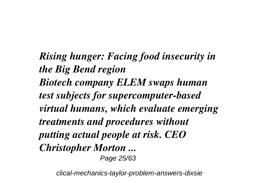*Rising hunger: Facing food insecurity in the Big Bend region Biotech company ELEM swaps human test subjects for supercomputer-based virtual humans, which evaluate emerging treatments and procedures without putting actual people at risk. CEO Christopher Morton ...* Page 25/63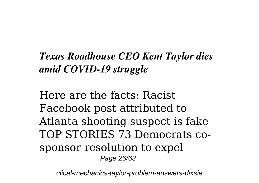#### *Texas Roadhouse CEO Kent Taylor dies amid COVID-19 struggle*

Here are the facts: Racist Facebook post attributed to Atlanta shooting suspect is fake TOP STORIES 73 Democrats cosponsor resolution to expel Page 26/63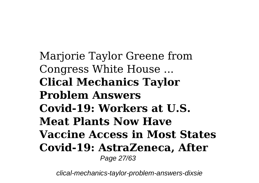Marjorie Taylor Greene from Congress White House ... **Clical Mechanics Taylor Problem Answers** Covid-19: Workers at U.S. **Meat Plants Now Have Vaccine Access in Most States** Covid-19: AstraZeneca, After Page 27/63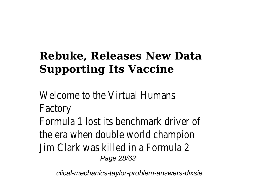### **Rebuke. Releases New Data Supporting Its Vaccine**

Welcome to the Virtual Humans Factory Formula 1 lost its benchmark driver of the era when double world champion Jim Clark was killed in a Formula 2 Page 28/63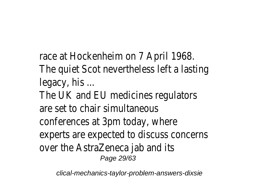race at Hockenheim on 7 April 1968. The quiet Scot nevertheless left a lasting legacy, his ... The UK and EU medicines regulators are set to chair simultaneous

conferences at 3pm today, where

experts are expected to discuss concerns over the AstraZeneca jab and its

Page 29/63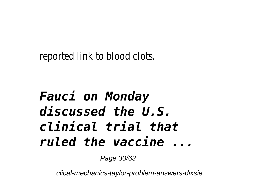reported link to blood clots.

# **Fauci on Monday**  $discussed the U.S.$ clinical trial that ruled the vaccine ...

Page 30/63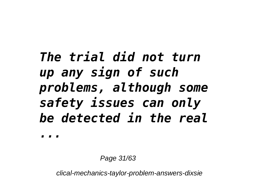The trial did not turn up any sign of such problems, although some safety issues can only be detected in the real

Page 31/63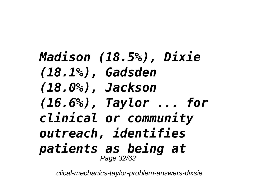# *Madison (18.5%), Dixie (18.1%), Gadsden (18.0%), Jackson (16.6%), Taylor ... for clinical or community outreach, identifies patients as being at* Page 32/63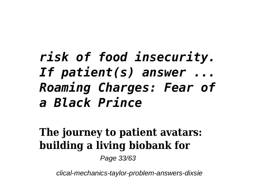# risk of food insecurity. If patient(s) answer  $\ldots$ Roaming Charges: Fear of a Black Prince

#### The journey to patient avatars: building a living biobank for

Page 33/63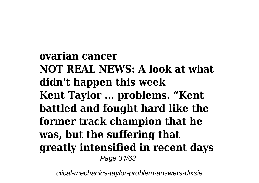**ovarian cancer NOT REAL NEWS: A look at what didn't happen this week Kent Taylor ... problems. "Kent battled and fought hard like the former track champion that he was, but the suffering that greatly intensified in recent days** Page 34/63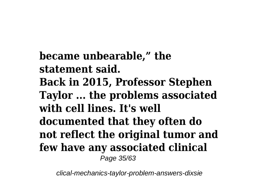**became unbearable," the statement said. Back in 2015, Professor Stephen Taylor ... the problems associated with cell lines. It's well documented that they often do not reflect the original tumor and few have any associated clinical** Page 35/63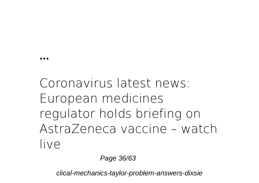# Coronavirus latest news: European medicines regulator holds briefing on AstraZeneca vaccine - watch live

Page 36/63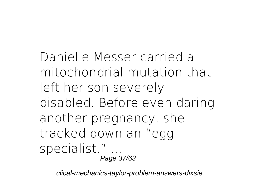Danielle Messer carried a mitochondrial mutation that left her son severely disabled. Before even daring another pregnancy, she tracked down an "egg specialist." ... Page 37/63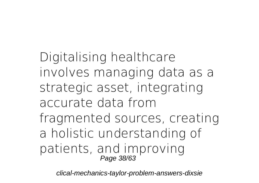Digitalising healthcare involves managing data as a strategic asset, integrating accurate data from fragmented sources, creating a holistic understanding of patients, and improving Page 38/63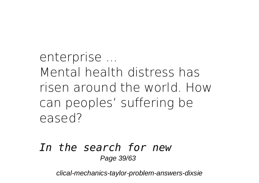enterprise ... Mental health distress has risen around the world How can peoples' suffering be eased?

#### In the search for new Page 39/63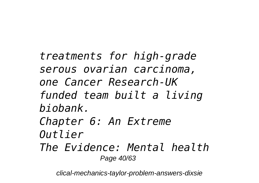treatments for high-grade serous ovarian carcinoma, one Cancer Research-IIK funded team built a living hiohank Chapter 6: An Extreme  $0$ utlier The Evidence: Mental health Page 40/63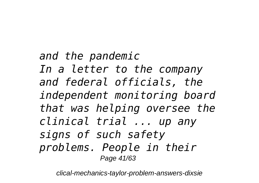and the pandemic In a letter to the company and federal officials, the independent monitoring board that was helping oversee the clinical trial ... up any signs of such safety problems. People in their Page 41/63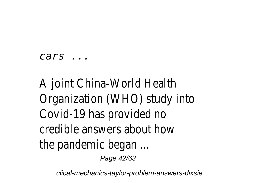#### $cars \dots$

# A joint China-World Health Organization (WHO) study into Covid-19 has provided no credible answers about how the pandemic began ... Page 42/63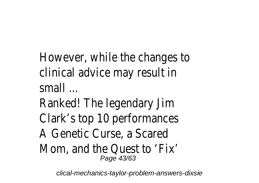However, while the changes to clinical advice may result in small

Ranked! The legendary Jim Clark's top 10 performances A Genetic Curse, a Scared Mom, and the Quest to 'Fix' Page 43/63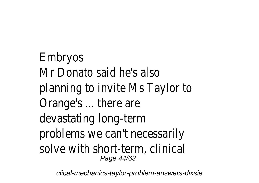Embryos Mr Donato said he's also planning to invite Ms Taylor to Orange's ... there are devastating long-term problems we can't necessarily solve with short-term, clinical Page 44/63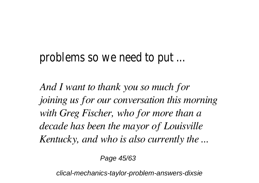#### problems so we need to put ...

*And I want to thank you so much for joining us for our conversation this morning with Greg Fischer, who for more than a decade has been the mayor of Louisville Kentucky, and who is also currently the ...*

Page 45/63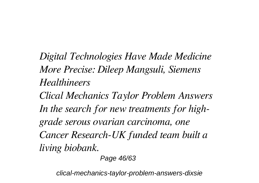Digital Technologies Have Made Medicine More Precise: Dileep Mangsuli, Siemens **Healthineers** 

**Clical Mechanics Taylor Problem Answers** In the search for new treatments for highgrade serous ovarian carcinoma, one Cancer Research-UK funded team built a living biobank.

Page 46/63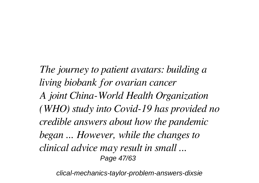*The journey to patient avatars: building a living biobank for ovarian cancer A joint China-World Health Organization (WHO) study into Covid-19 has provided no credible answers about how the pandemic began ... However, while the changes to clinical advice may result in small ...* Page 47/63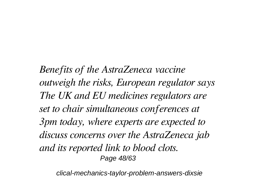*Benefits of the AstraZeneca vaccine outweigh the risks, European regulator says The UK and EU medicines regulators are set to chair simultaneous conferences at 3pm today, where experts are expected to discuss concerns over the AstraZeneca jab and its reported link to blood clots.* Page 48/63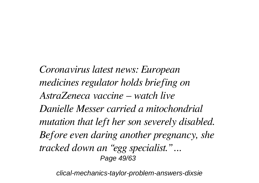*Coronavirus latest news: European medicines regulator holds briefing on AstraZeneca vaccine – watch live Danielle Messer carried a mitochondrial mutation that left her son severely disabled. Before even daring another pregnancy, she tracked down an "egg specialist." ...* Page 49/63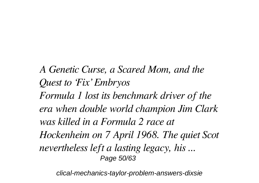A Genetic Curse, a Scared Mom, and the **Ouest to 'Fix' Embryos** Formula 1 lost its benchmark driver of the era when double world champion Jim Clark was killed in a Formula 2 race at Hockenheim on 7 April 1968. The quiet Scot nevertheless left a lasting legacy, his ... Page 50/63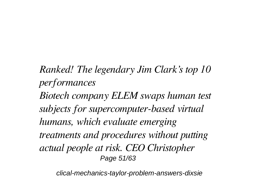*Ranked! The legendary Jim Clark's top 10 performances Biotech company ELEM swaps human test subjects for supercomputer-based virtual humans, which evaluate emerging treatments and procedures without putting actual people at risk. CEO Christopher* Page 51/63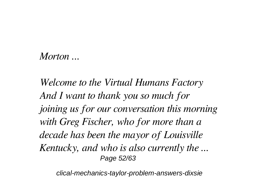#### *Morton ...*

*Welcome to the Virtual Humans Factory And I want to thank you so much for joining us for our conversation this morning with Greg Fischer, who for more than a decade has been the mayor of Louisville Kentucky, and who is also currently the ...* Page 52/63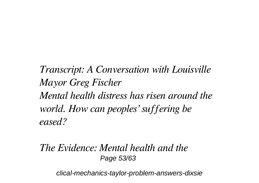*Transcript: A Conversation with Louisville Mayor Greg Fischer Mental health distress has risen around the world. How can peoples' suffering be eased?*

*The Evidence: Mental health and the* Page 53/63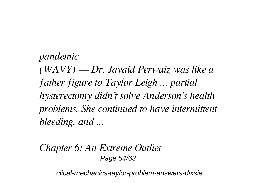pandemic  $(WAVY)$  — Dr. Javaid Perwaiz was like a father figure to Taylor Leigh ... partial hysterectomy didn't solve Anderson's health problems. She continued to have intermittent bleeding, and ...

Chapter 6: An Extreme Outlier Page 54/63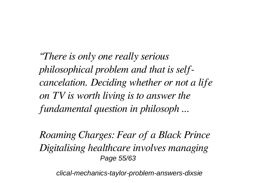*"There is only one really serious philosophical problem and that is selfcancelation. Deciding whether or not a life on TV is worth living is to answer the fundamental question in philosoph ...*

*Roaming Charges: Fear of a Black Prince Digitalising healthcare involves managing* Page 55/63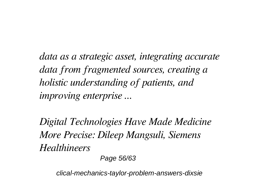data as a strategic asset, integrating accurate data from fragmented sources, creating a holistic understanding of patients, and *improving enterprise* ...

Digital Technologies Have Made Medicine More Precise: Dileep Mangsuli, Siemens Healthingers

Page 56/63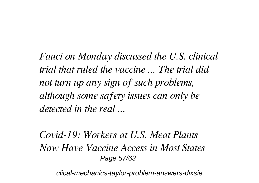*Fauci on Monday discussed the U.S. clinical trial that ruled the vaccine ... The trial did not turn up any sign of such problems, although some safety issues can only be detected in the real ...*

*Covid-19: Workers at U.S. Meat Plants Now Have Vaccine Access in Most States* Page 57/63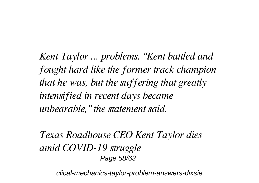*Kent Taylor ... problems. "Kent battled and fought hard like the former track champion that he was, but the suffering that greatly intensified in recent days became unbearable," the statement said.*

*Texas Roadhouse CEO Kent Taylor dies amid COVID-19 struggle* Page 58/63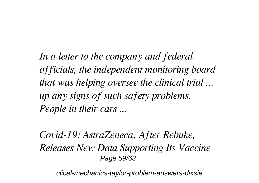In a letter to the company and federal officials, the independent monitoring board that was helping oversee the clinical trial... up any signs of such safety problems. People in their cars ...

Covid-19: AstraZeneca, After Rebuke, Releases New Data Supporting Its Vaccine Page 59/63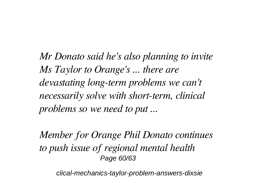*Mr Donato said he's also planning to invite Ms Taylor to Orange's ... there are devastating long-term problems we can't necessarily solve with short-term, clinical problems so we need to put ...*

*Member for Orange Phil Donato continues to push issue of regional mental health* Page 60/63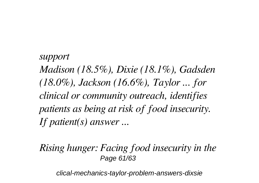*support Madison (18.5%), Dixie (18.1%), Gadsden (18.0%), Jackson (16.6%), Taylor ... for clinical or community outreach, identifies patients as being at risk of food insecurity. If patient(s) answer ...*

*Rising hunger: Facing food insecurity in the* Page 61/63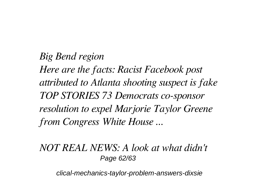*Big Bend region Here are the facts: Racist Facebook post attributed to Atlanta shooting suspect is fake TOP STORIES 73 Democrats co-sponsor resolution to expel Marjorie Taylor Greene from Congress White House ...*

#### *NOT REAL NEWS: A look at what didn't* Page 62/63